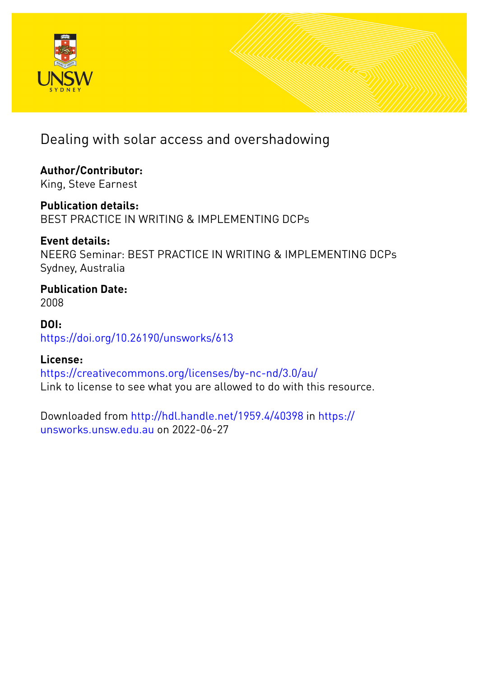

# Dealing with solar access and overshadowing

**Author/Contributor:** King, Steve Earnest

**Publication details:** BEST PRACTICE IN WRITING & IMPLEMENTING DCPs

**Event details:** NEERG Seminar: BEST PRACTICE IN WRITING & IMPLEMENTING DCPs Sydney, Australia

**Publication Date:** 2008

**DOI:** [https://doi.org/10.26190/unsworks/613](http://dx.doi.org/https://doi.org/10.26190/unsworks/613)

## **License:**

<https://creativecommons.org/licenses/by-nc-nd/3.0/au/> Link to license to see what you are allowed to do with this resource.

Downloaded from <http://hdl.handle.net/1959.4/40398> in [https://](https://unsworks.unsw.edu.au) [unsworks.unsw.edu.au](https://unsworks.unsw.edu.au) on 2022-06-27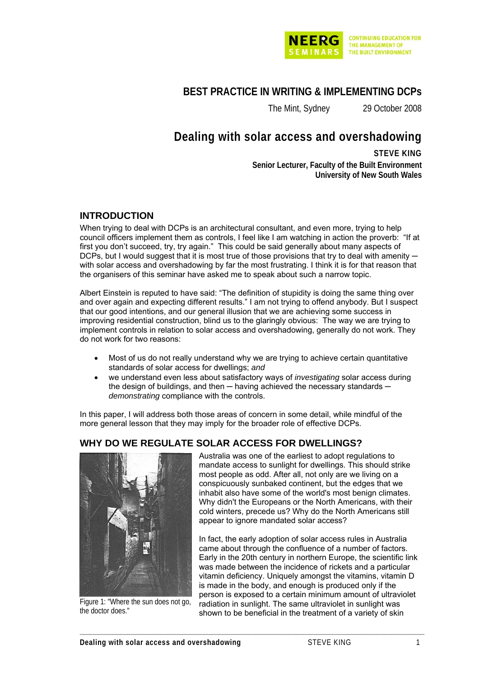

## **BEST PRACTICE IN WRITING & IMPLEMENTING DCPs**

The Mint, Sydney 29 October 2008

## **Dealing with solar access and overshadowing**

**STEVE KING Senior Lecturer, Faculty of the Built Environment University of New South Wales**

### **INTRODUCTION**

When trying to deal with DCPs is an architectural consultant, and even more, trying to help council officers implement them as controls, I feel like I am watching in action the proverb: "If at first you don't succeed, try, try again." This could be said generally about many aspects of DCPs, but I would suggest that it is most true of those provisions that try to deal with amenity with solar access and overshadowing by far the most frustrating. I think it is for that reason that the organisers of this seminar have asked me to speak about such a narrow topic.

Albert Einstein is reputed to have said: "The definition of stupidity is doing the same thing over and over again and expecting different results." I am not trying to offend anybody. But I suspect that our good intentions, and our general illusion that we are achieving some success in improving residential construction, blind us to the glaringly obvious: The way we are trying to implement controls in relation to solar access and overshadowing, generally do not work. They do not work for two reasons:

- Most of us do not really understand why we are trying to achieve certain quantitative standards of solar access for dwellings; *and*
- we understand even less about satisfactory ways of *investigating* solar access during the design of buildings, and then  $-$  having achieved the necessary standards  $$ *demonstrating* compliance with the controls.

**\_\_\_\_\_\_\_\_\_\_\_\_\_\_\_\_\_\_\_\_\_\_\_\_\_\_\_\_\_\_\_\_\_\_\_\_\_\_\_\_\_\_\_\_\_\_\_\_\_\_\_\_\_\_\_\_\_\_\_\_\_\_\_\_\_\_\_\_\_\_\_\_\_\_\_\_\_\_\_\_\_\_\_\_\_\_\_\_\_\_\_\_\_\_** 

In this paper, I will address both those areas of concern in some detail, while mindful of the more general lesson that they may imply for the broader role of effective DCPs.

## **WHY DO WE REGULATE SOLAR ACCESS FOR DWELLINGS?**



Figure 1: "Where the sun does not go, the doctor does."

Australia was one of the earliest to adopt regulations to mandate access to sunlight for dwellings. This should strike most people as odd. After all, not only are we living on a conspicuously sunbaked continent, but the edges that we inhabit also have some of the world's most benign climates. Why didn't the Europeans or the North Americans, with their cold winters, precede us? Why do the North Americans still appear to ignore mandated solar access?

In fact, the early adoption of solar access rules in Australia came about through the confluence of a number of factors. Early in the 20th century in northern Europe, the scientific link was made between the incidence of rickets and a particular vitamin deficiency. Uniquely amongst the vitamins, vitamin D is made in the body, and enough is produced only if the person is exposed to a certain minimum amount of ultraviolet radiation in sunlight. The same ultraviolet in sunlight was shown to be beneficial in the treatment of a variety of skin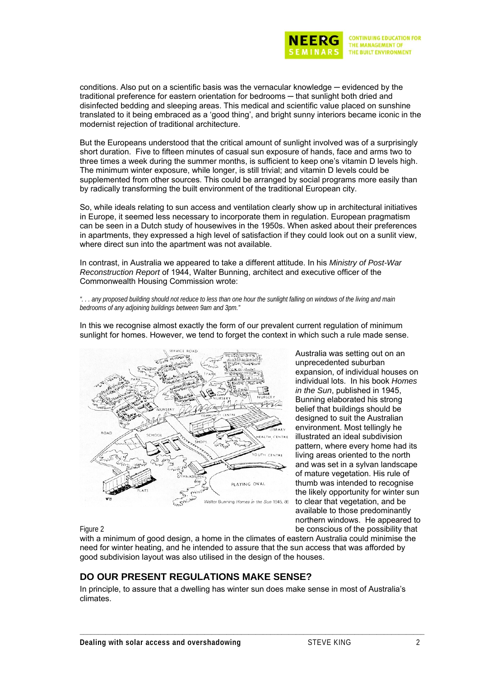

conditions. Also put on a scientific basis was the vernacular knowledge — evidenced by the traditional preference for eastern orientation for bedrooms ─ that sunlight both dried and disinfected bedding and sleeping areas. This medical and scientific value placed on sunshine translated to it being embraced as a 'good thing', and bright sunny interiors became iconic in the modernist rejection of traditional architecture.

But the Europeans understood that the critical amount of sunlight involved was of a surprisingly short duration. Five to fifteen minutes of casual sun exposure of hands, face and arms two to three times a week during the summer months, is sufficient to keep one's vitamin D levels high. The minimum winter exposure, while longer, is still trivial; and vitamin D levels could be supplemented from other sources. This could be arranged by social programs more easily than by radically transforming the built environment of the traditional European city.

So, while ideals relating to sun access and ventilation clearly show up in architectural initiatives in Europe, it seemed less necessary to incorporate them in regulation. European pragmatism can be seen in a Dutch study of housewives in the 1950s. When asked about their preferences in apartments, they expressed a high level of satisfaction if they could look out on a sunlit view, where direct sun into the apartment was not available.

In contrast, in Australia we appeared to take a different attitude. In his *Ministry of Post-War Reconstruction Report* of 1944, Walter Bunning, architect and executive officer of the Commonwealth Housing Commission wrote:

*". . . any proposed building should not reduce to less than one hour the sunlight falling on windows of the living and main bedrooms of any adjoining buildings between 9am and 3pm."* 



In this we recognise almost exactly the form of our prevalent current regulation of minimum sunlight for homes. However, we tend to forget the context in which such a rule made sense.

> Australia was setting out on an unprecedented suburban expansion, of individual houses on individual lots. In his book *Homes in the Sun*, published in 1945, Bunning elaborated his strong belief that buildings should be designed to suit the Australian environment. Most tellingly he illustrated an ideal subdivision pattern, where every home had its living areas oriented to the north and was set in a sylvan landscape of mature vegetation. His rule of thumb was intended to recognise the likely opportunity for winter sun to clear that vegetation, and be available to those predominantly northern windows. He appeared to be conscious of the possibility that

#### Figure 2

with a minimum of good design, a home in the climates of eastern Australia could minimise the need for winter heating, and he intended to assure that the sun access that was afforded by good subdivision layout was also utilised in the design of the houses.

## **DO OUR PRESENT REGULATIONS MAKE SENSE?**

In principle, to assure that a dwelling has winter sun does make sense in most of Australia's climates.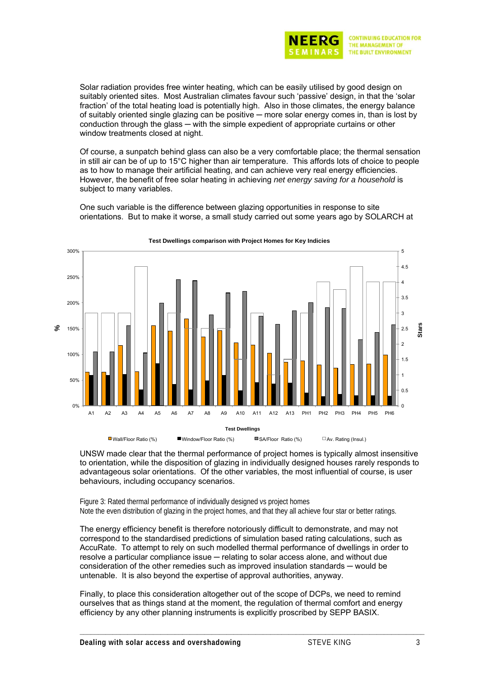

Solar radiation provides free winter heating, which can be easily utilised by good design on suitably oriented sites. Most Australian climates favour such 'passive' design, in that the 'solar fraction' of the total heating load is potentially high. Also in those climates, the energy balance of suitably oriented single glazing can be positive — more solar energy comes in, than is lost by conduction through the glass — with the simple expedient of appropriate curtains or other window treatments closed at night.

Of course, a sunpatch behind glass can also be a very comfortable place; the thermal sensation in still air can be of up to 15°C higher than air temperature. This affords lots of choice to people as to how to manage their artificial heating, and can achieve very real energy efficiencies. However, the benefit of free solar heating in achieving *net energy saving for a household* is subject to many variables.

One such variable is the difference between glazing opportunities in response to site orientations. But to make it worse, a small study carried out some years ago by SOLARCH at



**Test Dwellings comparison with Project Homes for Key Indicies**

UNSW made clear that the thermal performance of project homes is typically almost insensitive to orientation, while the disposition of glazing in individually designed houses rarely responds to advantageous solar orientations. Of the other variables, the most influential of course, is user behaviours, including occupancy scenarios.

Figure 3: Rated thermal performance of individually designed vs project homes Note the even distribution of glazing in the project homes, and that they all achieve four star or better ratings.

The energy efficiency benefit is therefore notoriously difficult to demonstrate, and may not correspond to the standardised predictions of simulation based rating calculations, such as AccuRate. To attempt to rely on such modelled thermal performance of dwellings in order to resolve a particular compliance issue — relating to solar access alone, and without due consideration of the other remedies such as improved insulation standards ─ would be untenable. It is also beyond the expertise of approval authorities, anyway.

Finally, to place this consideration altogether out of the scope of DCPs, we need to remind ourselves that as things stand at the moment, the regulation of thermal comfort and energy efficiency by any other planning instruments is explicitly proscribed by SEPP BASIX.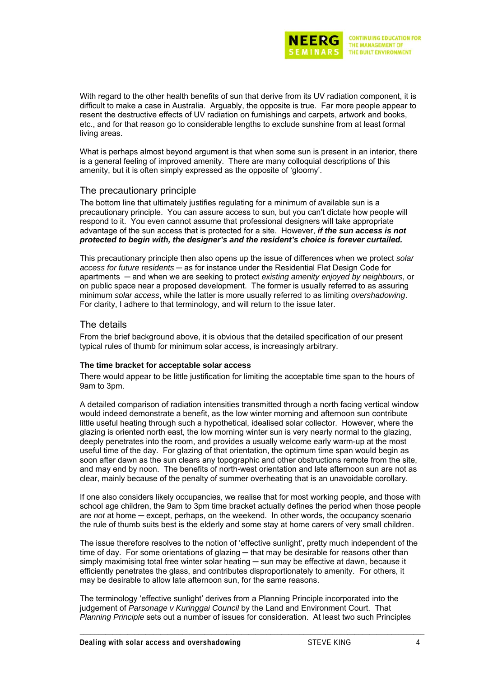

With regard to the other health benefits of sun that derive from its UV radiation component, it is difficult to make a case in Australia. Arguably, the opposite is true. Far more people appear to resent the destructive effects of UV radiation on furnishings and carpets, artwork and books, etc., and for that reason go to considerable lengths to exclude sunshine from at least formal living areas.

What is perhaps almost beyond argument is that when some sun is present in an interior, there is a general feeling of improved amenity. There are many colloquial descriptions of this amenity, but it is often simply expressed as the opposite of 'gloomy'.

#### The precautionary principle

The bottom line that ultimately justifies regulating for a minimum of available sun is a precautionary principle. You can assure access to sun, but you can't dictate how people will respond to it. You even cannot assume that professional designers will take appropriate advantage of the sun access that is protected for a site. However, *if the sun access is not protected to begin with, the designer's and the resident's choice is forever curtailed.*

This precautionary principle then also opens up the issue of differences when we protect *solar access for future residents* ─ as for instance under the Residential Flat Design Code for apartments ─ and when we are seeking to protect *existing amenity enjoyed by neighbours*, or on public space near a proposed development. The former is usually referred to as assuring minimum *solar access*, while the latter is more usually referred to as limiting *overshadowing*. For clarity, I adhere to that terminology, and will return to the issue later.

#### The details

From the brief background above, it is obvious that the detailed specification of our present typical rules of thumb for minimum solar access, is increasingly arbitrary.

#### **The time bracket for acceptable solar access**

There would appear to be little justification for limiting the acceptable time span to the hours of 9am to 3pm.

A detailed comparison of radiation intensities transmitted through a north facing vertical window would indeed demonstrate a benefit, as the low winter morning and afternoon sun contribute little useful heating through such a hypothetical, idealised solar collector. However, where the glazing is oriented north east, the low morning winter sun is very nearly normal to the glazing, deeply penetrates into the room, and provides a usually welcome early warm-up at the most useful time of the day. For glazing of that orientation, the optimum time span would begin as soon after dawn as the sun clears any topographic and other obstructions remote from the site, and may end by noon. The benefits of north-west orientation and late afternoon sun are not as clear, mainly because of the penalty of summer overheating that is an unavoidable corollary.

If one also considers likely occupancies, we realise that for most working people, and those with school age children, the 9am to 3pm time bracket actually defines the period when those people are *not* at home — except, perhaps, on the weekend. In other words, the occupancy scenario the rule of thumb suits best is the elderly and some stay at home carers of very small children.

The issue therefore resolves to the notion of 'effective sunlight', pretty much independent of the time of day. For some orientations of glazing — that may be desirable for reasons other than simply maximising total free winter solar heating — sun may be effective at dawn, because it efficiently penetrates the glass, and contributes disproportionately to amenity. For others, it may be desirable to allow late afternoon sun, for the same reasons.

The terminology 'effective sunlight' derives from a Planning Principle incorporated into the judgement of *Parsonage v Kuringgai Council* by the Land and Environment Court. That *Planning Principle* sets out a number of issues for consideration. At least two such Principles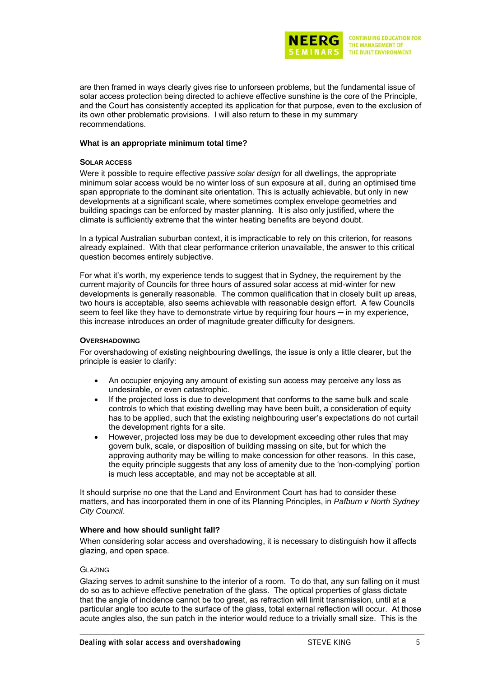

are then framed in ways clearly gives rise to unforseen problems, but the fundamental issue of solar access protection being directed to achieve effective sunshine is the core of the Principle, and the Court has consistently accepted its application for that purpose, even to the exclusion of its own other problematic provisions. I will also return to these in my summary recommendations.

#### **What is an appropriate minimum total time?**

#### **SOLAR ACCESS**

Were it possible to require effective *passive solar design* for all dwellings, the appropriate minimum solar access would be no winter loss of sun exposure at all, during an optimised time span appropriate to the dominant site orientation. This is actually achievable, but only in new developments at a significant scale, where sometimes complex envelope geometries and building spacings can be enforced by master planning. It is also only justified, where the climate is sufficiently extreme that the winter heating benefits are beyond doubt.

In a typical Australian suburban context, it is impracticable to rely on this criterion, for reasons already explained. With that clear performance criterion unavailable, the answer to this critical question becomes entirely subjective.

For what it's worth, my experience tends to suggest that in Sydney, the requirement by the current majority of Councils for three hours of assured solar access at mid-winter for new developments is generally reasonable. The common qualification that in closely built up areas, two hours is acceptable, also seems achievable with reasonable design effort. A few Councils seem to feel like they have to demonstrate virtue by requiring four hours — in my experience, this increase introduces an order of magnitude greater difficulty for designers.

#### **OVERSHADOWING**

For overshadowing of existing neighbouring dwellings, the issue is only a little clearer, but the principle is easier to clarify:

- An occupier enjoying any amount of existing sun access may perceive any loss as undesirable, or even catastrophic.
- If the projected loss is due to development that conforms to the same bulk and scale controls to which that existing dwelling may have been built, a consideration of equity has to be applied, such that the existing neighbouring user's expectations do not curtail the development rights for a site.
- However, projected loss may be due to development exceeding other rules that may govern bulk, scale, or disposition of building massing on site, but for which the approving authority may be willing to make concession for other reasons. In this case, the equity principle suggests that any loss of amenity due to the 'non-complying' portion is much less acceptable, and may not be acceptable at all.

It should surprise no one that the Land and Environment Court has had to consider these matters, and has incorporated them in one of its Planning Principles, in *Pafburn v North Sydney City Council*.

#### **Where and how should sunlight fall?**

When considering solar access and overshadowing, it is necessary to distinguish how it affects glazing, and open space.

#### GLAZING

Glazing serves to admit sunshine to the interior of a room. To do that, any sun falling on it must do so as to achieve effective penetration of the glass. The optical properties of glass dictate that the angle of incidence cannot be too great, as refraction will limit transmission, until at a particular angle too acute to the surface of the glass, total external reflection will occur. At those acute angles also, the sun patch in the interior would reduce to a trivially small size. This is the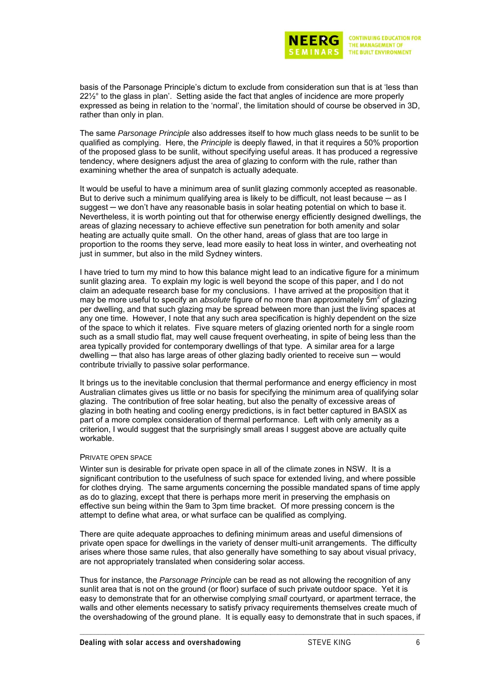

basis of the Parsonage Principle's dictum to exclude from consideration sun that is at 'less than 22½° to the glass in plan'. Setting aside the fact that angles of incidence are more properly expressed as being in relation to the 'normal', the limitation should of course be observed in 3D, rather than only in plan.

The same *Parsonage Principle* also addresses itself to how much glass needs to be sunlit to be qualified as complying. Here, the *Principle* is deeply flawed, in that it requires a 50% proportion of the proposed glass to be sunlit, without specifying useful areas. It has produced a regressive tendency, where designers adjust the area of glazing to conform with the rule, rather than examining whether the area of sunpatch is actually adequate.

It would be useful to have a minimum area of sunlit glazing commonly accepted as reasonable. But to derive such a minimum qualifying area is likely to be difficult, not least because  $-$  as I suggest — we don't have any reasonable basis in solar heating potential on which to base it. Nevertheless, it is worth pointing out that for otherwise energy efficiently designed dwellings, the areas of glazing necessary to achieve effective sun penetration for both amenity and solar heating are actually quite small. On the other hand, areas of glass that are too large in proportion to the rooms they serve, lead more easily to heat loss in winter, and overheating not just in summer, but also in the mild Sydney winters.

I have tried to turn my mind to how this balance might lead to an indicative figure for a minimum sunlit glazing area. To explain my logic is well beyond the scope of this paper, and I do not claim an adequate research base for my conclusions. I have arrived at the proposition that it may be more useful to specify an *absolute* figure of no more than approximately 5m<sup>2</sup> of glazing per dwelling, and that such glazing may be spread between more than just the living spaces at any one time. However, I note that any such area specification is highly dependent on the size of the space to which it relates. Five square meters of glazing oriented north for a single room such as a small studio flat, may well cause frequent overheating, in spite of being less than the area typically provided for contemporary dwellings of that type. A similar area for a large dwelling — that also has large areas of other glazing badly oriented to receive sun — would contribute trivially to passive solar performance.

It brings us to the inevitable conclusion that thermal performance and energy efficiency in most Australian climates gives us little or no basis for specifying the minimum area of qualifying solar glazing. The contribution of free solar heating, but also the penalty of excessive areas of glazing in both heating and cooling energy predictions, is in fact better captured in BASIX as part of a more complex consideration of thermal performance. Left with only amenity as a criterion, I would suggest that the surprisingly small areas I suggest above are actually quite workable.

#### PRIVATE OPEN SPACE

Winter sun is desirable for private open space in all of the climate zones in NSW. It is a significant contribution to the usefulness of such space for extended living, and where possible for clothes drying. The same arguments concerning the possible mandated spans of time apply as do to glazing, except that there is perhaps more merit in preserving the emphasis on effective sun being within the 9am to 3pm time bracket. Of more pressing concern is the attempt to define what area, or what surface can be qualified as complying.

There are quite adequate approaches to defining minimum areas and useful dimensions of private open space for dwellings in the variety of denser multi-unit arrangements. The difficulty arises where those same rules, that also generally have something to say about visual privacy, are not appropriately translated when considering solar access.

Thus for instance, the *Parsonage Principle* can be read as not allowing the recognition of any sunlit area that is not on the ground (or floor) surface of such private outdoor space. Yet it is easy to demonstrate that for an otherwise complying *small* courtyard, or apartment terrace, the walls and other elements necessary to satisfy privacy requirements themselves create much of the overshadowing of the ground plane. It is equally easy to demonstrate that in such spaces, if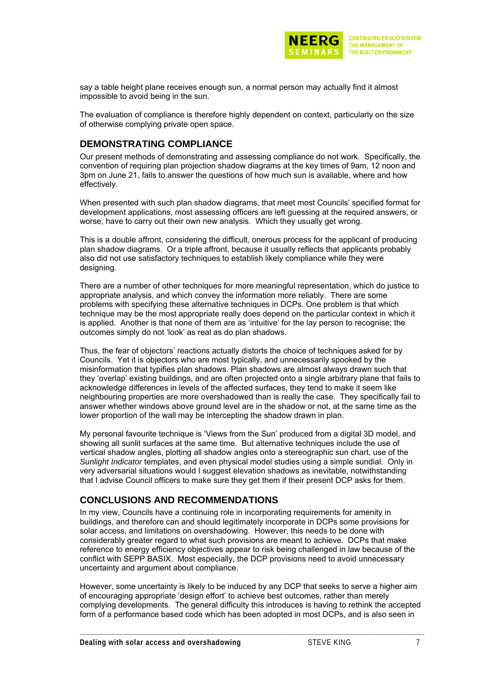

say a table height plane receives enough sun, a normal person may actually find it almost impossible to avoid being in the sun.

The evaluation of compliance is therefore highly dependent on context, particularly on the size of otherwise complying private open space.

## **DEMONSTRATING COMPLIANCE**

Our present methods of demonstrating and assessing compliance do not work. Specifically, the convention of requiring plan projection shadow diagrams at the key times of 9am, 12 noon and 3pm on June 21, fails to answer the questions of how much sun is available, where and how effectively.

When presented with such plan shadow diagrams, that meet most Councils' specified format for development applications, most assessing officers are left guessing at the required answers, or worse, have to carry out their own new analysis. Which they usually get wrong.

This is a double affront, considering the difficult, onerous process for the applicant of producing plan shadow diagrams. Or a triple affront, because it usually reflects that applicants probably also did not use satisfactory techniques to establish likely compliance while they were designing.

There are a number of other techniques for more meaningful representation, which do justice to appropriate analysis, and which convey the information more reliably. There are some problems with specifying these alternative techniques in DCPs. One problem is that which technique may be the most appropriate really does depend on the particular context in which it is applied. Another is that none of them are as 'intuitive' for the lay person to recognise; the outcomes simply do not 'look' as real as do plan shadows.

Thus, the fear of objectors' reactions actually distorts the choice of techniques asked for by Councils. Yet it is objectors who are most typically, and unnecessarily spooked by the misinformation that typifies plan shadows. Plan shadows are almost always drawn such that they 'overlap' existing buildings, and are often projected onto a single arbitrary plane that fails to acknowledge differences in levels of the affected surfaces, they tend to make it seem like neighbouring properties are more overshadowed than is really the case. They specifically fail to answer whether windows above ground level are in the shadow or not, at the same time as the lower proportion of the wall may be intercepting the shadow drawn in plan.

My personal favourite technique is 'Views from the Sun' produced from a digital 3D model, and showing all sunlit surfaces at the same time. But alternative techniques include the use of vertical shadow angles, plotting all shadow angles onto a stereographic sun chart, use of the *Sunlight Indicator* templates, and even physical model studies using a simple sundial. Only in very adversarial situations would I suggest elevation shadows as inevitable, notwithstanding that I advise Council officers to make sure they get them if their present DCP asks for them.

### **CONCLUSIONS AND RECOMMENDATIONS**

In my view, Councils have a continuing role in incorporating requirements for amenity in buildings, and therefore can and should legitimately incorporate in DCPs some provisions for solar access, and limitations on overshadowing. However, this needs to be done with considerably greater regard to what such provisions are meant to achieve. DCPs that make reference to energy efficiency objectives appear to risk being challenged in law because of the conflict with SEPP BASIX. Most especially, the DCP provisions need to avoid unnecessary uncertainty and argument about compliance.

However, some uncertainty is likely to be induced by any DCP that seeks to serve a higher aim of encouraging appropriate 'design effort' to achieve best outcomes, rather than merely complying developments. The general difficulty this introduces is having to rethink the accepted form of a performance based code which has been adopted in most DCPs, and is also seen in